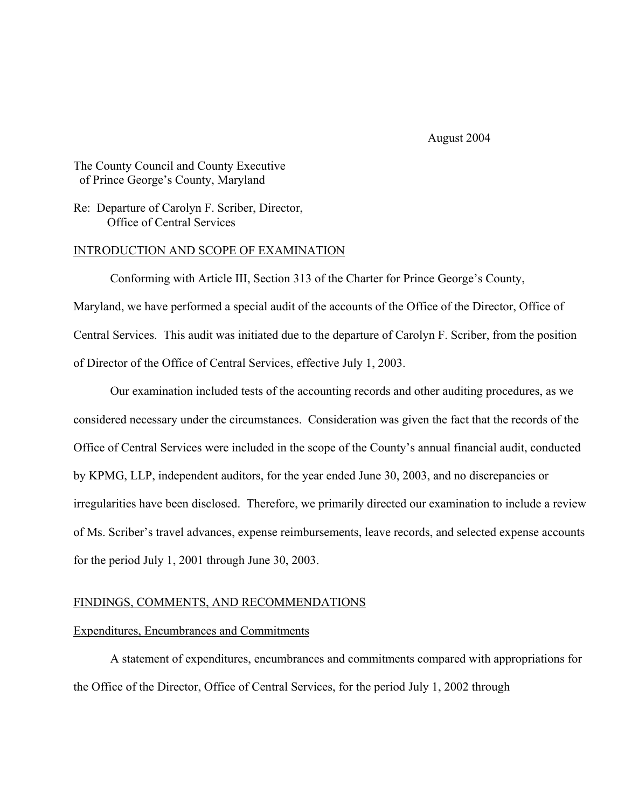August 2004

# The County Council and County Executive of Prince George's County, Maryland

Re: Departure of Carolyn F. Scriber, Director, Office of Central Services

### INTRODUCTION AND SCOPE OF EXAMINATION

 Conforming with Article III, Section 313 of the Charter for Prince George's County, Maryland, we have performed a special audit of the accounts of the Office of the Director, Office of Central Services. This audit was initiated due to the departure of Carolyn F. Scriber, from the position of Director of the Office of Central Services, effective July 1, 2003.

 Our examination included tests of the accounting records and other auditing procedures, as we considered necessary under the circumstances. Consideration was given the fact that the records of the Office of Central Services were included in the scope of the County's annual financial audit, conducted by KPMG, LLP, independent auditors, for the year ended June 30, 2003, and no discrepancies or irregularities have been disclosed. Therefore, we primarily directed our examination to include a review of Ms. Scriber's travel advances, expense reimbursements, leave records, and selected expense accounts for the period July 1, 2001 through June 30, 2003.

### FINDINGS, COMMENTS, AND RECOMMENDATIONS

#### Expenditures, Encumbrances and Commitments

 A statement of expenditures, encumbrances and commitments compared with appropriations for the Office of the Director, Office of Central Services, for the period July 1, 2002 through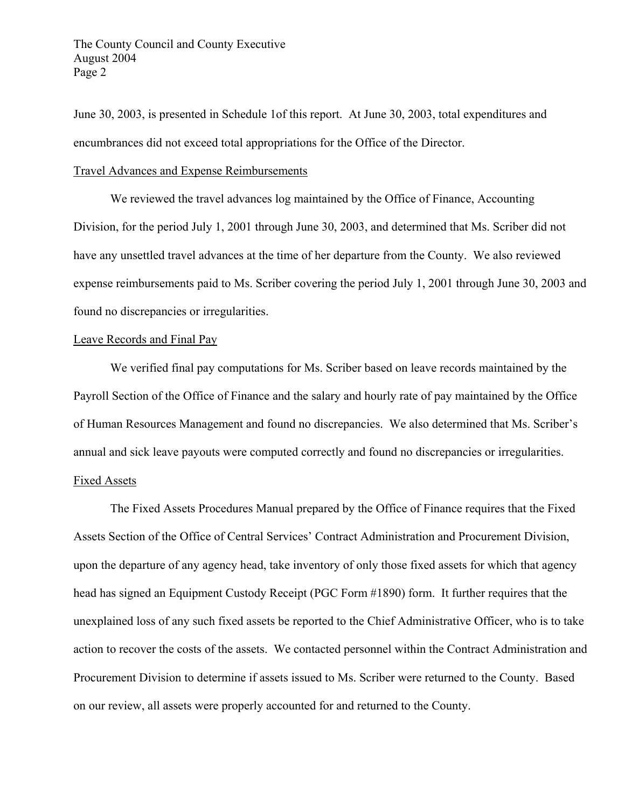June 30, 2003, is presented in Schedule 1of this report. At June 30, 2003, total expenditures and encumbrances did not exceed total appropriations for the Office of the Director.

### Travel Advances and Expense Reimbursements

 We reviewed the travel advances log maintained by the Office of Finance, Accounting Division, for the period July 1, 2001 through June 30, 2003, and determined that Ms. Scriber did not have any unsettled travel advances at the time of her departure from the County. We also reviewed expense reimbursements paid to Ms. Scriber covering the period July 1, 2001 through June 30, 2003 and found no discrepancies or irregularities.

### Leave Records and Final Pay

 We verified final pay computations for Ms. Scriber based on leave records maintained by the Payroll Section of the Office of Finance and the salary and hourly rate of pay maintained by the Office of Human Resources Management and found no discrepancies. We also determined that Ms. Scriber's annual and sick leave payouts were computed correctly and found no discrepancies or irregularities.

## Fixed Assets

 The Fixed Assets Procedures Manual prepared by the Office of Finance requires that the Fixed Assets Section of the Office of Central Services' Contract Administration and Procurement Division, upon the departure of any agency head, take inventory of only those fixed assets for which that agency head has signed an Equipment Custody Receipt (PGC Form #1890) form. It further requires that the unexplained loss of any such fixed assets be reported to the Chief Administrative Officer, who is to take action to recover the costs of the assets. We contacted personnel within the Contract Administration and Procurement Division to determine if assets issued to Ms. Scriber were returned to the County. Based on our review, all assets were properly accounted for and returned to the County.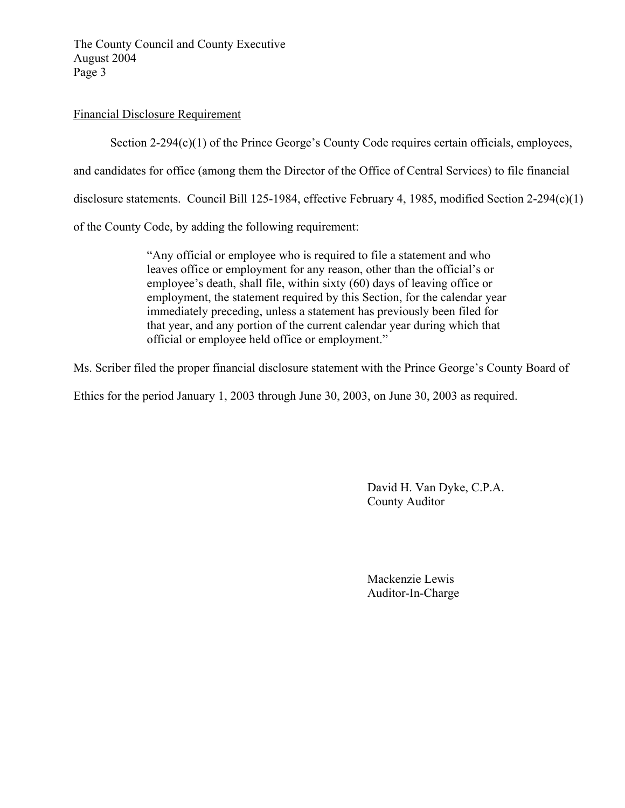The County Council and County Executive August 2004 Page 3

# Financial Disclosure Requirement

Section 2-294(c)(1) of the Prince George's County Code requires certain officials, employees,

and candidates for office (among them the Director of the Office of Central Services) to file financial

disclosure statements. Council Bill 125-1984, effective February 4, 1985, modified Section 2-294(c)(1)

of the County Code, by adding the following requirement:

 "Any official or employee who is required to file a statement and who leaves office or employment for any reason, other than the official's or employee's death, shall file, within sixty (60) days of leaving office or employment, the statement required by this Section, for the calendar year immediately preceding, unless a statement has previously been filed for that year, and any portion of the current calendar year during which that official or employee held office or employment."

Ms. Scriber filed the proper financial disclosure statement with the Prince George's County Board of

Ethics for the period January 1, 2003 through June 30, 2003, on June 30, 2003 as required.

 David H. Van Dyke, C.P.A. County Auditor

 Mackenzie Lewis Auditor-In-Charge